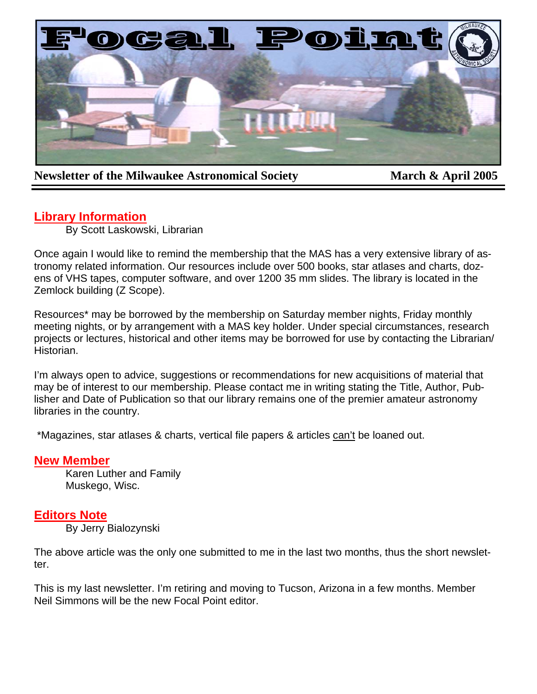

# **Newsletter of the Milwaukee Astronomical Society March & April 2005**

# **Library Information**

By Scott Laskowski, Librarian

Once again I would like to remind the membership that the MAS has a very extensive library of astronomy related information. Our resources include over 500 books, star atlases and charts, dozens of VHS tapes, computer software, and over 1200 35 mm slides. The library is located in the Zemlock building (Z Scope).

Resources\* may be borrowed by the membership on Saturday member nights, Friday monthly meeting nights, or by arrangement with a MAS key holder. Under special circumstances, research projects or lectures, historical and other items may be borrowed for use by contacting the Librarian/ Historian.

I'm always open to advice, suggestions or recommendations for new acquisitions of material that may be of interest to our membership. Please contact me in writing stating the Title, Author, Publisher and Date of Publication so that our library remains one of the premier amateur astronomy libraries in the country.

\*Magazines, star atlases & charts, vertical file papers & articles can't be loaned out.

## **New Member**

Karen Luther and Family Muskego, Wisc.

# **Editors Note**

By Jerry Bialozynski

The above article was the only one submitted to me in the last two months, thus the short newsletter.

This is my last newsletter. I'm retiring and moving to Tucson, Arizona in a few months. Member Neil Simmons will be the new Focal Point editor.